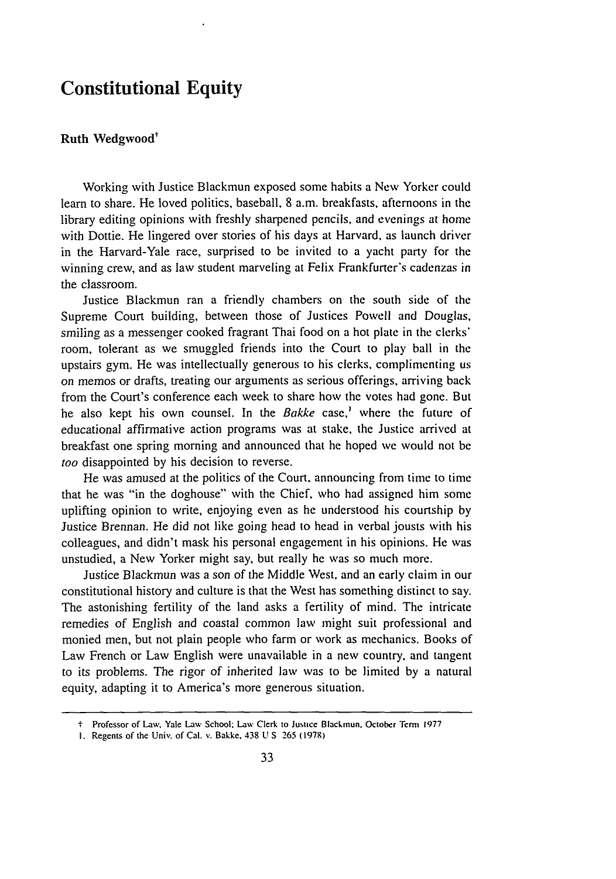## **Constitutional Equity**

## Ruth Wedgwood<sup>+</sup>

Working with Justice Blackmun exposed some habits a New Yorker could learn to share. He loved politics, baseball, 8 a.m. breakfasts, afternoons in the library editing opinions with freshly sharpened pencils, and evenings at home with Dottie. He lingered over stories of his days at Harvard, as launch driver in the Harvard-Yale race, surprised to be invited to a yacht party for the winning crew, and as law student marveling at Felix Frankfurter's cadenzas in the classroom.

Justice Blackmun ran a friendly chambers on the south side of the Supreme Court building, between those of Justices Powell and Douglas, smiling as a messenger cooked fragrant Thai food on a hot plate in the clerks' room, tolerant as we smuggled friends into the Court to play ball in the upstairs gym. He was intellectually generous to his clerks, complimenting us on memos or drafts, treating our arguments as serious offerings, arriving back from the Court's conference each week to share how the votes had gone. But he also kept his own counsel. In the Bakke case,<sup>1</sup> where the future of educational affirmative action programs was at stake, the Justice arrived at breakfast one spring morning and announced that he hoped we would not be too disappointed by his decision to reverse.

He was amused at the politics of the Court, announcing from time to time that he was "in the doghouse" with the Chief, who had assigned him some uplifting opinion to write, enjoying even as he understood his courtship by Justice Brennan. He did not like going head to head in verbal jousts with his colleagues, and didn't mask his personal engagement in his opinions. He was unstudied, a New Yorker might say, but really he was so much more.

Justice Blackmun was a son of the Middle West, and an early claim in our constitutional history and culture is that the West has something distinct to say. The astonishing fertility of the land asks a fertility of mind. The intricate remedies of English and coastal common law might suit professional and monied men, but not plain people who farm or work as mechanics. Books of Law French or Law English were unavailable in a new country, and tangent to its problems. The rigor of inherited law was to be limited by a natural equity, adapting it to America's more generous situation.

<sup>&</sup>quot; Professor **of** Law, Yale Law School: Law Clerk **to Justice** Blackmnun. October **ern 1977**

**I.** Regents of the Univ. of Cal. v. Bakke. 438 **U S 265 (1978)**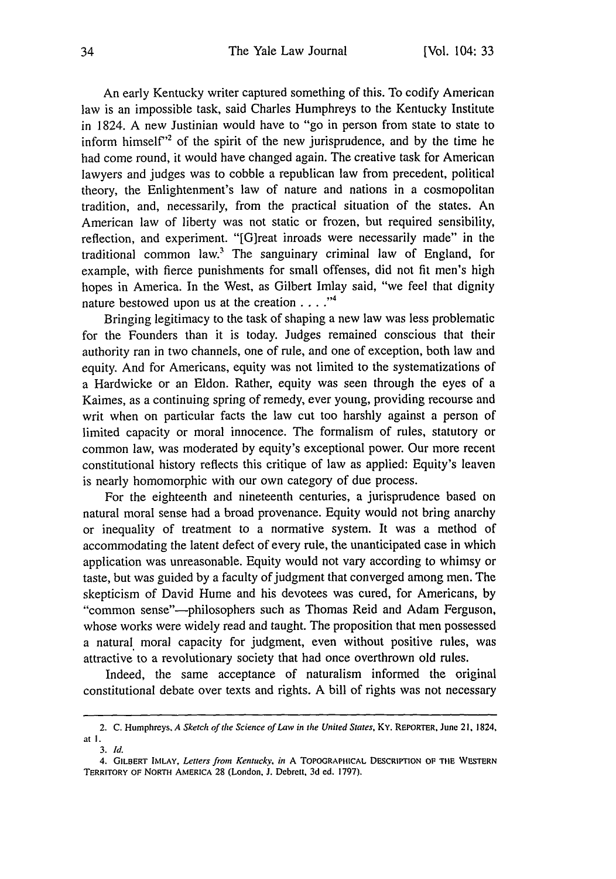An early Kentucky writer captured something of this. To codify American law is an impossible task, said Charles Humphreys to the Kentucky Institute in 1824. A new Justinian would have to "go in person from state to state to inform himself $^{\prime\prime}$  of the spirit of the new jurisprudence, and by the time he had come round, it would have changed again. The creative task for American lawyers and judges was to cobble a republican law from precedent, political theory, the Enlightenment's law of nature and nations in a cosmopolitan tradition, and, necessarily, from the practical situation of the states. An American law of liberty was not static or frozen, but required sensibility, reflection, and experiment. "[G]reat inroads were necessarily made" in the traditional common law.<sup>3</sup> The sanguinary criminal law of England, for example, with fierce punishments for small offenses, did not fit men's high hopes in America. In the West, as Gilbert Imlay said, "we feel that dignity nature bestowed upon us at the creation .. **.**

Bringing legitimacy to the task of shaping a new law was less problematic for the Founders than it is today. Judges remained conscious that their authority ran in two channels, one of rule, and one of exception, both law and equity. And for Americans, equity was not limited to the systematizations of a Hardwicke or an Eldon. Rather, equity was seen through the eyes of a Kaimes, as a continuing spring of remedy, ever young, providing recourse and writ when on particular facts the law cut too harshly against a person of limited capacity or moral innocence. The formalism of rules, statutory or common law, was moderated by equity's exceptional power. Our more recent constitutional history reflects this critique of law as applied: Equity's leaven is nearly homomorphic with our own category of due process.

For the eighteenth and nineteenth centuries, a jurisprudence based on natural moral sense had a broad provenance. Equity would not bring anarchy or inequality of treatment to a normative system. It was a method of accommodating the latent defect of every rule, the unanticipated case in which application was unreasonable. Equity would not vary according to whimsy or taste, but was guided by a faculty of judgment that converged among men. The skepticism of David Hume and his devotees was cured, for Americans, by "common sense"-philosophers such as Thomas Reid and Adam Ferguson, whose works were widely read and taught. The proposition that men possessed a natural moral capacity for judgment, even without positive rules, was attractive to a revolutionary society that had once overthrown old rules.

Indeed, the same acceptance of naturalism informed the original constitutional debate over texts and rights. A bill of rights was not necessary

<sup>2.</sup> C. Humphreys, *A* Sketch of *the* Science of Law in the United States, *Ky.* REPORTER, June 21, 1824, at I.

*<sup>3.</sup> Id.*

<sup>4.</sup> GIL3ERT IMLAY, *Letters from Kentucky,* in **A** TOPOGRAPHICAL DESCRIPTION **OF** TtIE WESTERN TERRITORY OF NORTH AMERICA **28** (London, **J.** Debrett, **3d** ed. **1797).**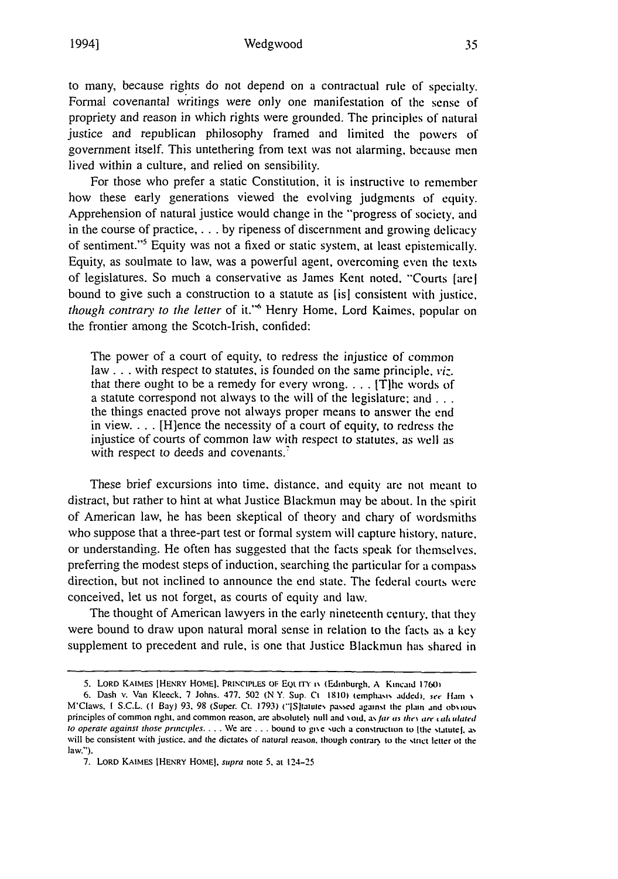## Wedgwood

to many, because rights do not depend on a contractual rule of specialty. Formal covenantal writings were only one manifestation of the sense of propriety and reason in which rights were grounded. The principles of natural justice and republican philosophy framed and limited the powers of government itself. This untethering from text was not alarming, because men lived within a culture, and relied on sensibility.

For those who prefer a static Constitution, it is instructive to remember how these early generations viewed the evolving judgments of equity. Apprehension of natural justice would change in the "'progress of society, and in the course of practice, . **.** . by ripeness of discernment and growing delicacy of sentiment."<sup>5</sup> Equity was not a fixed or static system, at least epistemically. Equity, as soulmate to law, was a powerful agent, overcoming even the texts of legislatures. So much a conservative as James Kent noted. "Courts (arel bound to give such a construction to a statute as (is] consistent with justice, *though contrary to the letter* of it."<sup>6</sup> Henry Home, Lord Kaimes, popular on the frontier among the Scotch-Irish, confided:

The power of a court of equity, to redress the injustice of common law . . . with respect to statutes, is founded on the same principle, viz. that there ought to be a remedy for every wrong **....** ITIhe words of a statute correspond not always to the will of the legislature; **and...** the things enacted prove not always proper means to answer the end in view **....** [H]ence the necessity of a court of equity, to redress the injustice of courts of common law with respect to statutes, as well as with respect to deeds and covenants.<sup>7</sup>

These brief excursions into time, distance, and equity are not meant to distract, but rather to hint at what Justice Blackmun may be about. In the spirit of American law, he has been skeptical of theory and chary of wordsmiths who suppose that a three-part test or formal system will capture history, nature. or understanding. He often has suggested that the facts speak for themselves, preferring the modest steps of induction, searching the particular for a compass direction, but not inclined to announce the end state. The federal courts were conceived, let us not forget, as courts of equity and law.

The thought of American lawyers in the early nineteenth century, that they were bound to draw upon natural moral sense in relation to the facts as a key supplement to precedent and rule, is one that Justice Blackmun has shared in

**<sup>5.</sup>** LORD KAIMES IHENRY **HOMEI.** PRINCIPLES **Ot EQL ITY i\ (Edinburgh. A Kincaid 1760)**

<sup>6.</sup> Dash v. Van Kleeck, 7 Johns. **477**, 502 (N Y. Sup. Ct 1810) (emphasis added), see Ham v M'Claws, **I S.C.L. (I Bay) 93, 98** *(Super.* Ct. **1793)** ("[Sltaute, **passed** against the plain **and** ob .iou,, principles of common right, and common reason, are absolutely null and void, as far as they are calculated to operate against *those* **principles.... we** are **. . . bound to gi.e** such a **construction to (the** stitutel. as will be consistent with justice, and the dictates of natural reason, though contrary to the strict letter of the law.").

<sup>7.</sup> LORD **KAIMES IHENRY HOME).** supra note **5,** at 124-25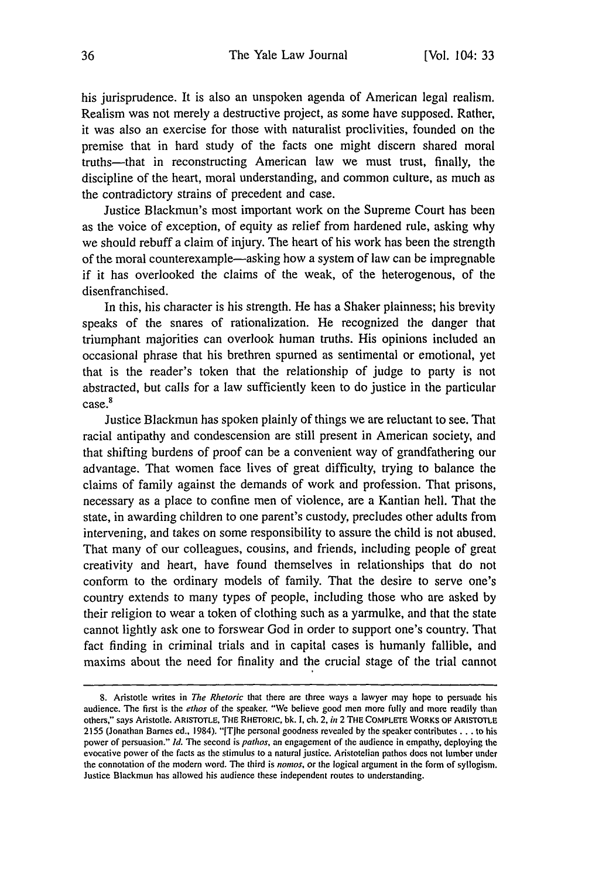his jurisprudence. It is also an unspoken agenda of American legal realism. Realism was not merely a destructive project, as some have supposed. Rather, it was also an exercise for those with naturalist proclivities, founded on the premise that in hard study of the facts one might discern shared moral truths—that in reconstructing American law we must trust, finally, the discipline of the heart, moral understanding, and common culture, as much as the contradictory strains of precedent and case.

Justice Blackmun's most important work on the Supreme Court has been as the voice of exception, of equity as relief from hardened rule, asking why we should rebuff a claim of injury. The heart of his work has been the strength of the moral counterexample-asking how a system of law can be impregnable if it has overlooked the claims of the weak, of the heterogenous, of the disenfranchised.

In this, his character is his strength. He has a Shaker plainness; his brevity speaks of the snares of rationalization. He recognized the danger that triumphant majorities can overlook human truths. His opinions included an occasional phrase that his brethren spurned as sentimental or emotional, yet that is the reader's token that the relationship of judge to party is not abstracted, but calls for a law sufficiently keen to do justice in the particular case.<sup>8</sup>

Justice Blackmun has spoken plainly of things we are reluctant to see. That racial antipathy and condescension are still present in American society, and that shifting burdens of proof can be a convenient way of grandfathering our advantage. That women face lives of great difficulty, trying to balance the claims of family against the demands of work and profession. That prisons, necessary as a place to confine men of violence, are a Kantian hell. That the state, in awarding children to one parent's custody, precludes other adults from intervening, and takes on some responsibility to assure the child is not abused. That many of our colleagues, cousins, and friends, including people of great creativity and heart, have found themselves in relationships that do not conform to the ordinary models of family. That the desire to serve one's country extends to many types of people, including those who are asked by their religion to wear a token of clothing such as a yarmulke, and that the state cannot lightly ask one to forswear God in order to support one's country. That fact finding in criminal trials and in capital cases is humanly fallible, and maxims about the need for finality and the crucial stage of the trial cannot

**<sup>8.</sup>** Aristotle writes in *The Rhetoric* that there are three ways a lawyer may hope to persuade his audience. The first is the *ethos* of the speaker. "We believe good men more fully and more readily than others," says Aristotle. ARISTOTLE, THE RHETORIC, bk. I, ch. 2, *in* 2 **THE** COMPLETE WORKS **OF** ARISTOTLE 2155 (Jonathan Barnes ed., 1984). "ITIhe personal goodness revealed by the speaker contributes... to his power of persuasion." **Id.** The second is pathos, an engagement of the audience in empathy, deploying the evocative power of the facts as the stimulus to a natural justice. Aristotelian pathos does **not** lumber under the connotation of the modern word. The third is *nomos,* or the logical argument in the form of syllogism. Justice Blackmun has allowed his audience these independent routes to understanding.